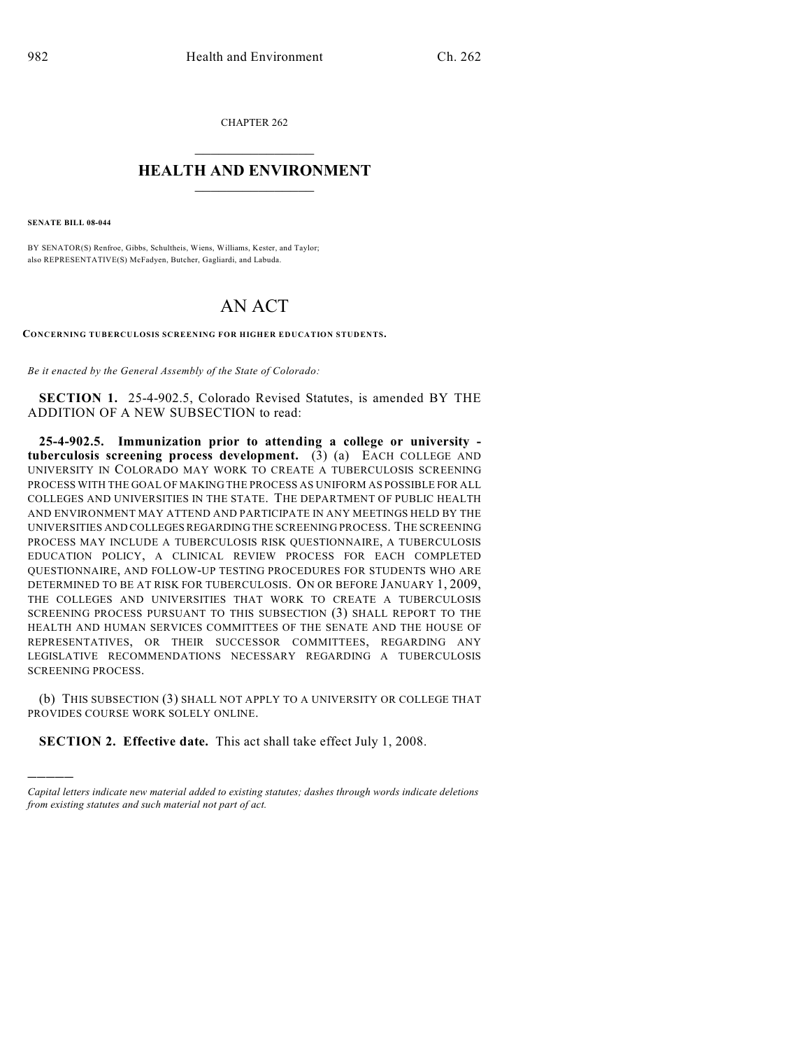CHAPTER 262

## $\mathcal{L}_\text{max}$  . The set of the set of the set of the set of the set of the set of the set of the set of the set of the set of the set of the set of the set of the set of the set of the set of the set of the set of the set **HEALTH AND ENVIRONMENT**  $\frac{1}{2}$  ,  $\frac{1}{2}$  ,  $\frac{1}{2}$  ,  $\frac{1}{2}$  ,  $\frac{1}{2}$  ,  $\frac{1}{2}$  ,  $\frac{1}{2}$

**SENATE BILL 08-044**

)))))

BY SENATOR(S) Renfroe, Gibbs, Schultheis, Wiens, Williams, Kester, and Taylor; also REPRESENTATIVE(S) McFadyen, Butcher, Gagliardi, and Labuda.

## AN ACT

**CONCERNING TUBERCULOSIS SCREENING FOR HIGHER EDUCATION STUDENTS.**

*Be it enacted by the General Assembly of the State of Colorado:*

**SECTION 1.** 25-4-902.5, Colorado Revised Statutes, is amended BY THE ADDITION OF A NEW SUBSECTION to read:

**25-4-902.5. Immunization prior to attending a college or university tuberculosis screening process development.** (3) (a) EACH COLLEGE AND UNIVERSITY IN COLORADO MAY WORK TO CREATE A TUBERCULOSIS SCREENING PROCESS WITH THE GOAL OF MAKING THE PROCESS AS UNIFORM AS POSSIBLE FOR ALL COLLEGES AND UNIVERSITIES IN THE STATE. THE DEPARTMENT OF PUBLIC HEALTH AND ENVIRONMENT MAY ATTEND AND PARTICIPATE IN ANY MEETINGS HELD BY THE UNIVERSITIES AND COLLEGES REGARDING THE SCREENING PROCESS. THE SCREENING PROCESS MAY INCLUDE A TUBERCULOSIS RISK QUESTIONNAIRE, A TUBERCULOSIS EDUCATION POLICY, A CLINICAL REVIEW PROCESS FOR EACH COMPLETED QUESTIONNAIRE, AND FOLLOW-UP TESTING PROCEDURES FOR STUDENTS WHO ARE DETERMINED TO BE AT RISK FOR TUBERCULOSIS. ON OR BEFORE JANUARY 1, 2009, THE COLLEGES AND UNIVERSITIES THAT WORK TO CREATE A TUBERCULOSIS SCREENING PROCESS PURSUANT TO THIS SUBSECTION (3) SHALL REPORT TO THE HEALTH AND HUMAN SERVICES COMMITTEES OF THE SENATE AND THE HOUSE OF REPRESENTATIVES, OR THEIR SUCCESSOR COMMITTEES, REGARDING ANY LEGISLATIVE RECOMMENDATIONS NECESSARY REGARDING A TUBERCULOSIS SCREENING PROCESS.

(b) THIS SUBSECTION (3) SHALL NOT APPLY TO A UNIVERSITY OR COLLEGE THAT PROVIDES COURSE WORK SOLELY ONLINE.

**SECTION 2. Effective date.** This act shall take effect July 1, 2008.

*Capital letters indicate new material added to existing statutes; dashes through words indicate deletions from existing statutes and such material not part of act.*